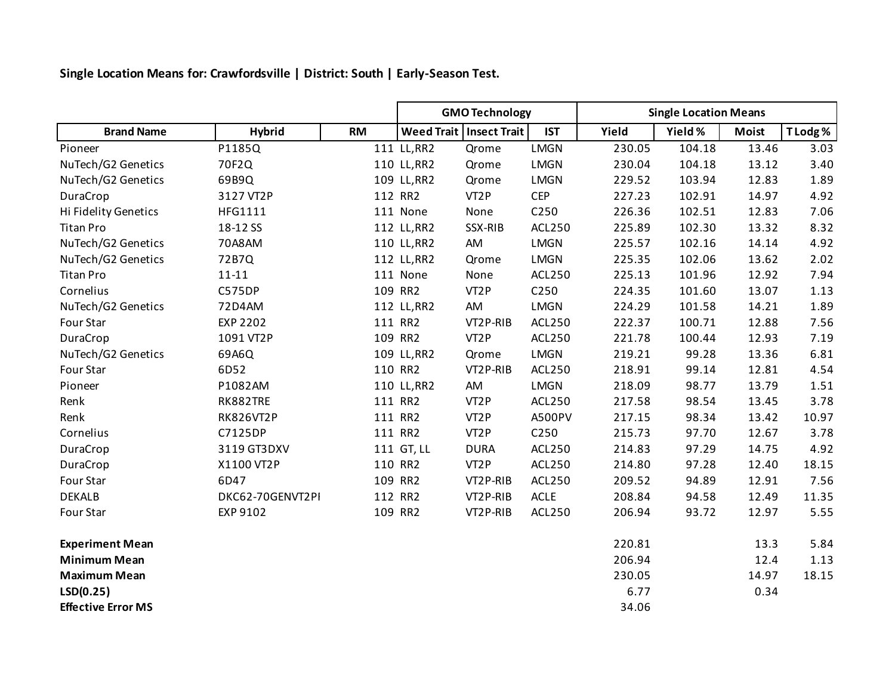**Single Location Means for: Crawfordsville | District: South | Early-Season Test.**

|                           |                  |           | <b>GMO Technology</b> |                           |               | <b>Single Location Means</b> |         |              |          |
|---------------------------|------------------|-----------|-----------------------|---------------------------|---------------|------------------------------|---------|--------------|----------|
| <b>Brand Name</b>         | <b>Hybrid</b>    | <b>RM</b> |                       | Weed Trait   Insect Trait | <b>IST</b>    | Yield                        | Yield % | <b>Moist</b> | T Lodg % |
| Pioneer                   | P1185Q           |           | 111 LL, RR2           | Qrome                     | <b>LMGN</b>   | 230.05                       | 104.18  | 13.46        | 3.03     |
| NuTech/G2 Genetics        | 70F2Q            |           | 110 LL, RR2           | Qrome                     | <b>LMGN</b>   | 230.04                       | 104.18  | 13.12        | 3.40     |
| NuTech/G2 Genetics        | 69B9Q            |           | 109 LL, RR2           | Qrome                     | <b>LMGN</b>   | 229.52                       | 103.94  | 12.83        | 1.89     |
| DuraCrop                  | 3127 VT2P        |           | 112 RR2               | VT <sub>2</sub> P         | <b>CEP</b>    | 227.23                       | 102.91  | 14.97        | 4.92     |
| Hi Fidelity Genetics      | <b>HFG1111</b>   |           | 111 None              | None                      | C250          | 226.36                       | 102.51  | 12.83        | 7.06     |
| <b>Titan Pro</b>          | 18-12 SS         |           | 112 LL, RR2           | SSX-RIB                   | <b>ACL250</b> | 225.89                       | 102.30  | 13.32        | 8.32     |
| NuTech/G2 Genetics        | 70A8AM           |           | 110 LL, RR2           | AM                        | <b>LMGN</b>   | 225.57                       | 102.16  | 14.14        | 4.92     |
| NuTech/G2 Genetics        | 72B7Q            |           | 112 LL, RR2           | Qrome                     | <b>LMGN</b>   | 225.35                       | 102.06  | 13.62        | 2.02     |
| <b>Titan Pro</b>          | $11 - 11$        |           | 111 None              | None                      | <b>ACL250</b> | 225.13                       | 101.96  | 12.92        | 7.94     |
| Cornelius                 | C575DP           |           | 109 RR2               | VT <sub>2</sub> P         | C250          | 224.35                       | 101.60  | 13.07        | 1.13     |
| NuTech/G2 Genetics        | 72D4AM           |           | 112 LL, RR2           | AM                        | <b>LMGN</b>   | 224.29                       | 101.58  | 14.21        | 1.89     |
| Four Star                 | <b>EXP 2202</b>  |           | 111 RR2               | VT2P-RIB                  | <b>ACL250</b> | 222.37                       | 100.71  | 12.88        | 7.56     |
| DuraCrop                  | 1091 VT2P        |           | 109 RR2               | VT <sub>2</sub> P         | <b>ACL250</b> | 221.78                       | 100.44  | 12.93        | 7.19     |
| NuTech/G2 Genetics        | 69A6Q            |           | 109 LL, RR2           | Qrome                     | <b>LMGN</b>   | 219.21                       | 99.28   | 13.36        | 6.81     |
| Four Star                 | 6D52             |           | 110 RR2               | VT2P-RIB                  | <b>ACL250</b> | 218.91                       | 99.14   | 12.81        | 4.54     |
| Pioneer                   | P1082AM          |           | 110 LL, RR2           | AM                        | <b>LMGN</b>   | 218.09                       | 98.77   | 13.79        | 1.51     |
| Renk                      | RK882TRE         |           | 111 RR2               | VT <sub>2</sub> P         | ACL250        | 217.58                       | 98.54   | 13.45        | 3.78     |
| Renk                      | <b>RK826VT2P</b> |           | 111 RR2               | VT <sub>2</sub> P         | A500PV        | 217.15                       | 98.34   | 13.42        | 10.97    |
| Cornelius                 | C7125DP          |           | 111 RR2               | VT <sub>2</sub> P         | C250          | 215.73                       | 97.70   | 12.67        | 3.78     |
| DuraCrop                  | 3119 GT3DXV      |           | 111 GT, LL            | <b>DURA</b>               | <b>ACL250</b> | 214.83                       | 97.29   | 14.75        | 4.92     |
| DuraCrop                  | X1100 VT2P       |           | 110 RR2               | VT <sub>2</sub> P         | <b>ACL250</b> | 214.80                       | 97.28   | 12.40        | 18.15    |
| Four Star                 | 6D47             |           | 109 RR2               | VT2P-RIB                  | <b>ACL250</b> | 209.52                       | 94.89   | 12.91        | 7.56     |
| <b>DEKALB</b>             | DKC62-70GENVT2PI |           | 112 RR2               | VT2P-RIB                  | <b>ACLE</b>   | 208.84                       | 94.58   | 12.49        | 11.35    |
| Four Star                 | EXP 9102         |           | 109 RR2               | VT2P-RIB                  | <b>ACL250</b> | 206.94                       | 93.72   | 12.97        | 5.55     |
| <b>Experiment Mean</b>    |                  |           |                       |                           |               | 220.81                       |         | 13.3         | 5.84     |
| <b>Minimum Mean</b>       |                  |           |                       |                           |               | 206.94                       |         | 12.4         | 1.13     |
| <b>Maximum Mean</b>       |                  |           |                       |                           |               | 230.05                       |         | 14.97        | 18.15    |
| LSD(0.25)                 |                  |           |                       |                           |               | 6.77                         |         | 0.34         |          |
| <b>Effective Error MS</b> |                  |           |                       |                           |               | 34.06                        |         |              |          |